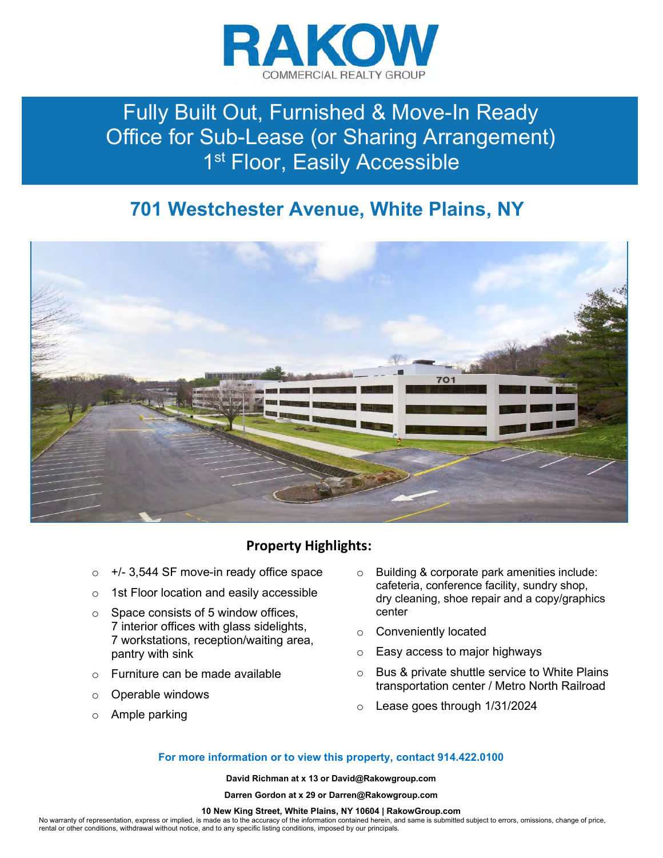

# Fully Built Out, Furnished & Move-In Ready Office for Sub-Lease (or Sharing Arrangement) 1<sup>st</sup> Floor, Easily Accessible

## 701 Westchester Avenue, White Plains, NY



### Property Highlights:

- $\circ$  +/- 3,544 SF move-in ready office space
- o 1st Floor location and easily accessible
- $\circ$  Space consists of 5 window offices, 7 interior offices with glass sidelights, 7 workstations, reception/waiting area, pantry with sink
- o Furniture can be made available
- o Operable windows
- o Ample parking
- o Building & corporate park amenities include: cafeteria, conference facility, sundry shop, dry cleaning, shoe repair and a copy/graphics center
- o Conveniently located
- o Easy access to major highways
- o Bus & private shuttle service to White Plains transportation center / Metro North Railroad
- o Lease goes through 1/31/2024

#### For more information or to view this property, contact 914.422.0100

David Richman at x 13 or David@Rakowgroup.com

Darren Gordon at x 29 or Darren@Rakowgroup.com

#### 10 New King Street, White Plains, NY 10604 | RakowGroup.com

No warranty of representation, express or implied, is made as to the accuracy of the information contained herein, and same is submitted subject to errors, omissions, change of price, rental or other conditions, withdrawal without notice, and to any specific listing conditions, imposed by our principals.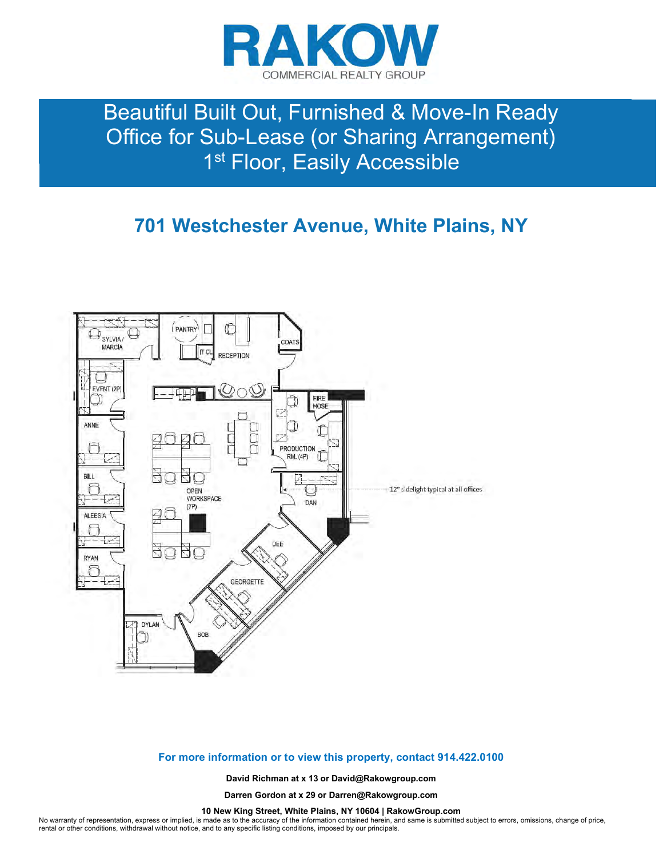

# Beautiful Built Out, Furnished & Move-In Ready Office for Sub-Lease (or Sharing Arrangement) 1<sup>st</sup> Floor, Easily Accessible

### 701 Westchester Avenue, White Plains, NY



#### For more information or to view this property, contact 914.422.0100

David Richman at x 13 or David@Rakowgroup.com

Darren Gordon at x 29 or Darren@Rakowgroup.com

10 New King Street, White Plains, NY 10604 | RakowGroup.com

No warranty of representation, express or implied, is made as to the accuracy of the information contained herein, and same is submitted subject to errors, omissions, change of price, rental or other conditions, withdrawal without notice, and to any specific listing conditions, imposed by our principals.